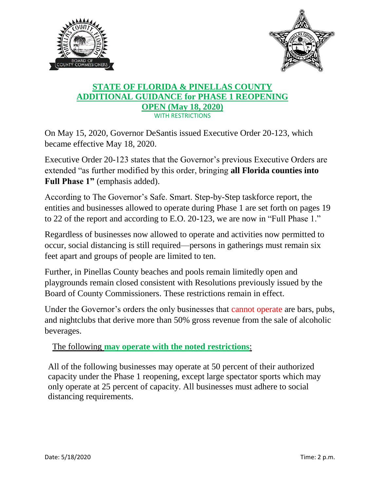



## **STATE OF FLORIDA & PINELLAS COUNTY ADDITIONAL GUIDANCE for PHASE 1 REOPENING OPEN (May 18, 2020)** WITH RESTRICTIONS

On May 15, 2020, Governor DeSantis issued Executive Order 20-123, which became effective May 18, 2020.

Executive Order 20-123 states that the Governor's previous Executive Orders are extended "as further modified by this order, bringing **all Florida counties into Full Phase 1"** (emphasis added).

According to The Governor's Safe. Smart. Step-by-Step taskforce report, the entities and businesses allowed to operate during Phase 1 are set forth on pages 19 to 22 of the report and according to E.O. 20-123, we are now in "Full Phase 1."

Regardless of businesses now allowed to operate and activities now permitted to occur, social distancing is still required—persons in gatherings must remain six feet apart and groups of people are limited to ten.

Further, in Pinellas County beaches and pools remain limitedly open and playgrounds remain closed consistent with Resolutions previously issued by the Board of County Commissioners. These restrictions remain in effect.

Under the Governor's orders the only businesses that cannot operate are bars, pubs, and nightclubs that derive more than 50% gross revenue from the sale of alcoholic beverages.

The following **may operate with the noted restrictions**:

All of the following businesses may operate at 50 percent of their authorized capacity under the Phase 1 reopening, except large spectator sports which may only operate at 25 percent of capacity. All businesses must adhere to social distancing requirements.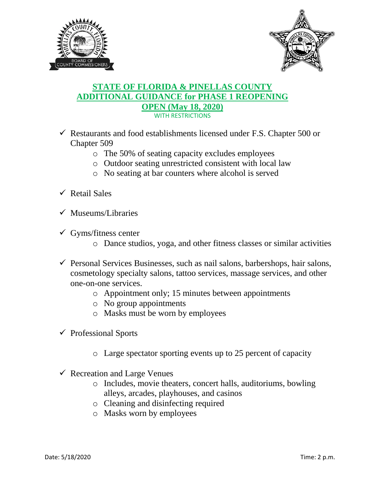



## **STATE OF FLORIDA & PINELLAS COUNTY ADDITIONAL GUIDANCE for PHASE 1 REOPENING OPEN (May 18, 2020)** WITH RESTRICTIONS

- $\checkmark$  Restaurants and food establishments licensed under F.S. Chapter 500 or Chapter 509
	- o The 50% of seating capacity excludes employees
	- o Outdoor seating unrestricted consistent with local law
	- o No seating at bar counters where alcohol is served
- $\checkmark$  Retail Sales
- $\checkmark$  Museums/Libraries
- $\checkmark$  Gyms/fitness center
	- o Dance studios, yoga, and other fitness classes or similar activities
- $\checkmark$  Personal Services Businesses, such as nail salons, barbershops, hair salons, cosmetology specialty salons, tattoo services, massage services, and other one-on-one services.
	- o Appointment only; 15 minutes between appointments
	- o No group appointments
	- o Masks must be worn by employees
- $\checkmark$  Professional Sports
	- o Large spectator sporting events up to 25 percent of capacity
- $\checkmark$  Recreation and Large Venues
	- o Includes, movie theaters, concert halls, auditoriums, bowling alleys, arcades, playhouses, and casinos
	- o Cleaning and disinfecting required
	- o Masks worn by employees